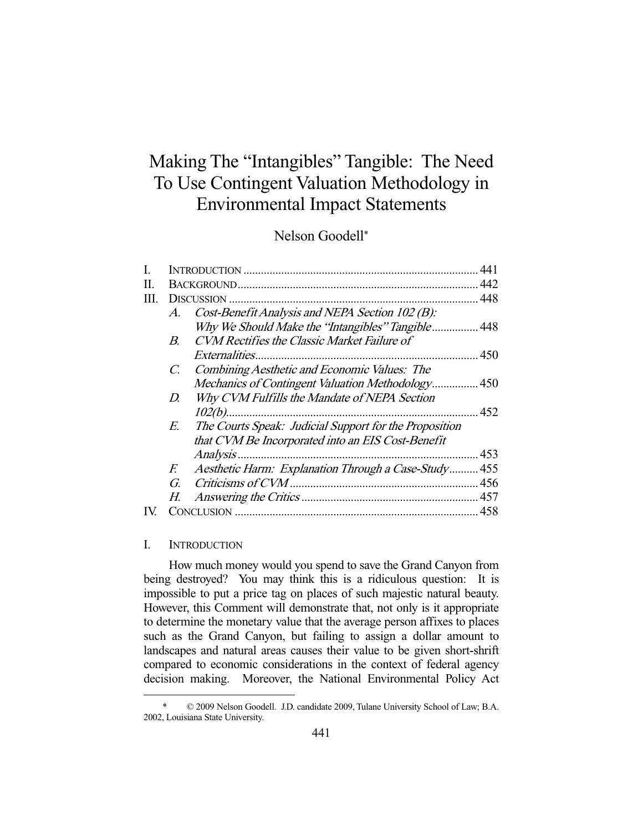# Making The "Intangibles" Tangible: The Need To Use Contingent Valuation Methodology in Environmental Impact Statements

## Nelson Goodell\*

| I. |             |                                                        | 441   |
|----|-------------|--------------------------------------------------------|-------|
| П. |             |                                                        | 442   |
| Ш. |             |                                                        | 448   |
|    | $A_{\cdot}$ | Cost-Benefit Analysis and NEPA Section 102 (B):        |       |
|    |             | Why We Should Make the "Intangibles" Tangible 448      |       |
|    | B.          | CVM Rectifies the Classic Market Failure of            |       |
|    |             | <i>Externalities</i>                                   | . 450 |
|    | C.          | Combining Aesthetic and Economic Values: The           |       |
|    |             | Mechanics of Contingent Valuation Methodology 450      |       |
|    | D.          | Why CVM Fulfills the Mandate of NEPA Section           |       |
|    |             |                                                        |       |
|    | E.          | The Courts Speak: Judicial Support for the Proposition |       |
|    |             | that CVM Be Incorporated into an EIS Cost-Benefit      |       |
|    |             | Analysis.                                              | .453  |
|    | E.          | Aesthetic Harm: Explanation Through a Case-Study 455   |       |
|    | G.          | Criticisms of CVM.                                     |       |
|    | Н.          |                                                        |       |
|    |             |                                                        |       |
|    |             |                                                        |       |

### I. INTRODUCTION

-

 How much money would you spend to save the Grand Canyon from being destroyed? You may think this is a ridiculous question: It is impossible to put a price tag on places of such majestic natural beauty. However, this Comment will demonstrate that, not only is it appropriate to determine the monetary value that the average person affixes to places such as the Grand Canyon, but failing to assign a dollar amount to landscapes and natural areas causes their value to be given short-shrift compared to economic considerations in the context of federal agency decision making. Moreover, the National Environmental Policy Act

 <sup>\* © 2009</sup> Nelson Goodell. J.D. candidate 2009, Tulane University School of Law; B.A. 2002, Louisiana State University.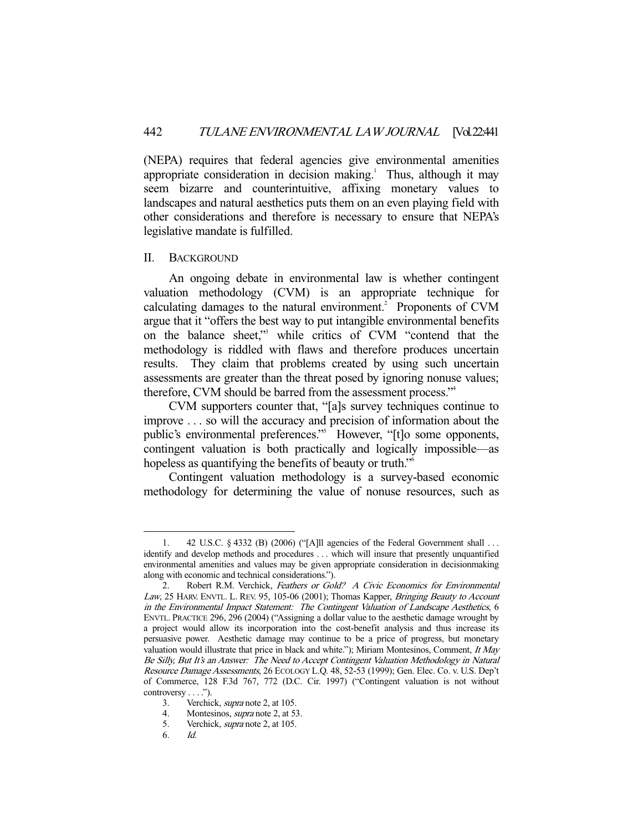(NEPA) requires that federal agencies give environmental amenities appropriate consideration in decision making.<sup>1</sup> Thus, although it may seem bizarre and counterintuitive, affixing monetary values to landscapes and natural aesthetics puts them on an even playing field with other considerations and therefore is necessary to ensure that NEPA's legislative mandate is fulfilled.

#### II. BACKGROUND

 An ongoing debate in environmental law is whether contingent valuation methodology (CVM) is an appropriate technique for calculating damages to the natural environment.<sup>2</sup> Proponents of CVM argue that it "offers the best way to put intangible environmental benefits on the balance sheet,"3 while critics of CVM "contend that the methodology is riddled with flaws and therefore produces uncertain results. They claim that problems created by using such uncertain assessments are greater than the threat posed by ignoring nonuse values; therefore, CVM should be barred from the assessment process."4

 CVM supporters counter that, "[a]s survey techniques continue to improve . . . so will the accuracy and precision of information about the public's environmental preferences."<sup>5</sup> However, "[t]o some opponents, contingent valuation is both practically and logically impossible—as hopeless as quantifying the benefits of beauty or truth."<sup>6</sup>

 Contingent valuation methodology is a survey-based economic methodology for determining the value of nonuse resources, such as

 <sup>1. 42</sup> U.S.C. § 4332 (B) (2006) ("[A]ll agencies of the Federal Government shall . . . identify and develop methods and procedures . . . which will insure that presently unquantified environmental amenities and values may be given appropriate consideration in decisionmaking along with economic and technical considerations.").

<sup>2.</sup> Robert R.M. Verchick, Feathers or Gold? A Civic Economics for Environmental Law, 25 HARV. ENVTL. L. REV. 95, 105-06 (2001); Thomas Kapper, Bringing Beauty to Account in the Environmental Impact Statement: The Contingent Valuation of Landscape Aesthetics, 6 ENVTL. PRACTICE 296, 296 (2004) ("Assigning a dollar value to the aesthetic damage wrought by a project would allow its incorporation into the cost-benefit analysis and thus increase its persuasive power. Aesthetic damage may continue to be a price of progress, but monetary valuation would illustrate that price in black and white."); Miriam Montesinos, Comment, It May Be Silly, But It's an Answer: The Need to Accept Contingent Valuation Methodology in Natural Resource Damage Assessments, 26 ECOLOGY L.Q. 48, 52-53 (1999); Gen. Elec. Co. v. U.S. Dep't of Commerce, 128 F.3d 767, 772 (D.C. Cir. 1997) ("Contingent valuation is not without controversy . . . .").

 <sup>3.</sup> Verchick, supra note 2, at 105.

<sup>4.</sup> Montesinos, *supra* note 2, at 53.

<sup>5.</sup> Verchick, *supra* note 2, at 105.

 <sup>6.</sup> Id.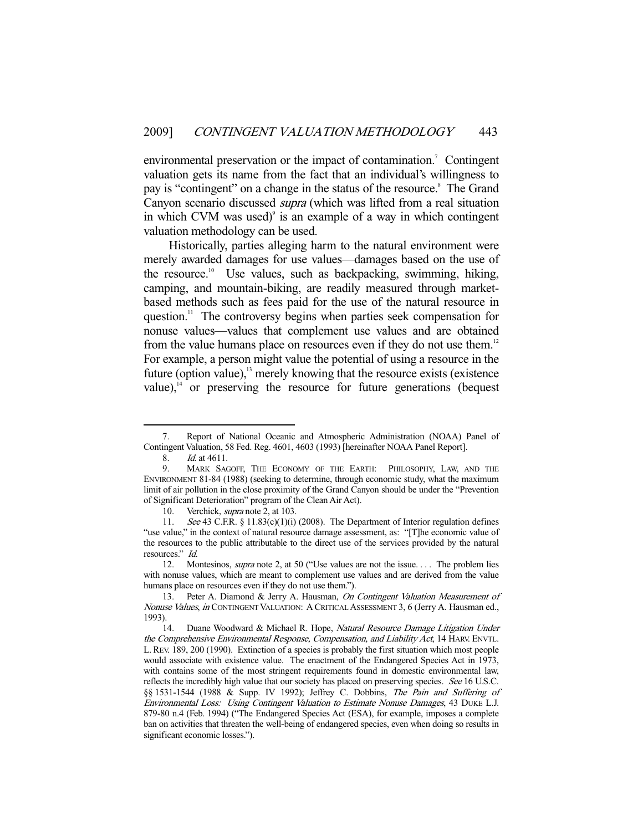environmental preservation or the impact of contamination.<sup>7</sup> Contingent valuation gets its name from the fact that an individual's willingness to pay is "contingent" on a change in the status of the resource.<sup>8</sup> The Grand Canyon scenario discussed supra (which was lifted from a real situation in which CVM was used) $\degree$  is an example of a way in which contingent valuation methodology can be used.

 Historically, parties alleging harm to the natural environment were merely awarded damages for use values—damages based on the use of the resource.<sup>10</sup> Use values, such as backpacking, swimming, hiking, camping, and mountain-biking, are readily measured through marketbased methods such as fees paid for the use of the natural resource in question.<sup>11</sup> The controversy begins when parties seek compensation for nonuse values—values that complement use values and are obtained from the value humans place on resources even if they do not use them.<sup>12</sup> For example, a person might value the potential of using a resource in the future (option value), $13$  merely knowing that the resource exists (existence value), $14$  or preserving the resource for future generations (bequest

Report of National Oceanic and Atmospheric Administration (NOAA) Panel of Contingent Valuation, 58 Fed. Reg. 4601, 4603 (1993) [hereinafter NOAA Panel Report].

<sup>8.</sup> *Id.* at 4611.

 <sup>9.</sup> MARK SAGOFF, THE ECONOMY OF THE EARTH: PHILOSOPHY, LAW, AND THE ENVIRONMENT 81-84 (1988) (seeking to determine, through economic study, what the maximum limit of air pollution in the close proximity of the Grand Canyon should be under the "Prevention of Significant Deterioration" program of the Clean Air Act).

<sup>10.</sup> Verchick, *supra* note 2, at 103.

<sup>11.</sup> See 43 C.F.R. § 11.83(c)(1)(i) (2008). The Department of Interior regulation defines "use value," in the context of natural resource damage assessment, as: "[T]he economic value of the resources to the public attributable to the direct use of the services provided by the natural resources." Id.

<sup>12.</sup> Montesinos, *supra* note 2, at 50 ("Use values are not the issue.... The problem lies with nonuse values, which are meant to complement use values and are derived from the value humans place on resources even if they do not use them.").

<sup>13.</sup> Peter A. Diamond & Jerry A. Hausman, On Contingent Valuation Measurement of Nonuse Values, in CONTINGENT VALUATION: A CRITICAL ASSESSMENT 3, 6 (Jerry A. Hausman ed., 1993).

<sup>14.</sup> Duane Woodward & Michael R. Hope, Natural Resource Damage Litigation Under the Comprehensive Environmental Response, Compensation, and Liability Act, 14 HARV. ENVTL. L. REV. 189, 200 (1990). Extinction of a species is probably the first situation which most people would associate with existence value. The enactment of the Endangered Species Act in 1973, with contains some of the most stringent requirements found in domestic environmental law, reflects the incredibly high value that our society has placed on preserving species. See 16 U.S.C. §§ 1531-1544 (1988 & Supp. IV 1992); Jeffrey C. Dobbins, The Pain and Suffering of Environmental Loss: Using Contingent Valuation to Estimate Nonuse Damages, 43 DUKE L.J. 879-80 n.4 (Feb. 1994) ("The Endangered Species Act (ESA), for example, imposes a complete ban on activities that threaten the well-being of endangered species, even when doing so results in significant economic losses.").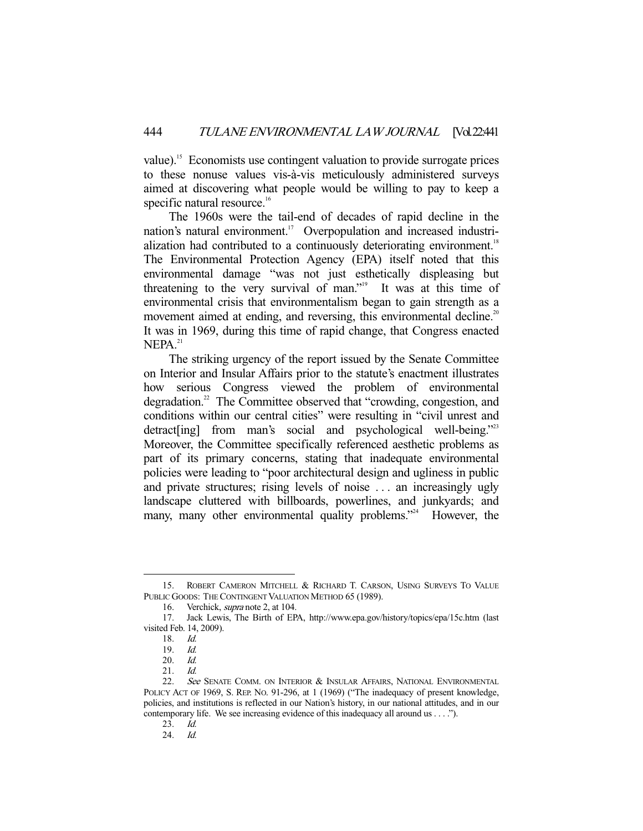value).15 Economists use contingent valuation to provide surrogate prices to these nonuse values vis-à-vis meticulously administered surveys aimed at discovering what people would be willing to pay to keep a specific natural resource.<sup>16</sup>

 The 1960s were the tail-end of decades of rapid decline in the nation's natural environment.<sup>17</sup> Overpopulation and increased industrialization had contributed to a continuously deteriorating environment.<sup>18</sup> The Environmental Protection Agency (EPA) itself noted that this environmental damage "was not just esthetically displeasing but threatening to the very survival of man."<sup>19</sup> It was at this time of environmental crisis that environmentalism began to gain strength as a movement aimed at ending, and reversing, this environmental decline.<sup>20</sup> It was in 1969, during this time of rapid change, that Congress enacted  $NEPA<sup>21</sup>$ 

 The striking urgency of the report issued by the Senate Committee on Interior and Insular Affairs prior to the statute's enactment illustrates how serious Congress viewed the problem of environmental degradation.<sup>22</sup> The Committee observed that "crowding, congestion, and conditions within our central cities" were resulting in "civil unrest and detract[ing] from man's social and psychological well-being."<sup>23</sup> Moreover, the Committee specifically referenced aesthetic problems as part of its primary concerns, stating that inadequate environmental policies were leading to "poor architectural design and ugliness in public and private structures; rising levels of noise . . . an increasingly ugly landscape cluttered with billboards, powerlines, and junkyards; and many, many other environmental quality problems."<sup>24</sup> However, the

 <sup>15.</sup> ROBERT CAMERON MITCHELL & RICHARD T. CARSON, USING SURVEYS TO VALUE PUBLIC GOODS: THE CONTINGENT VALUATION METHOD 65 (1989).

<sup>16.</sup> Verchick, *supra* note 2, at 104.

 <sup>17.</sup> Jack Lewis, The Birth of EPA, http://www.epa.gov/history/topics/epa/15c.htm (last visited Feb. 14, 2009).

 <sup>18.</sup> Id.

<sup>19.</sup> *Id.*<br>20. *Id.* 

 $20.$ 

 <sup>21.</sup> Id.

<sup>22.</sup> See SENATE COMM. ON INTERIOR & INSULAR AFFAIRS, NATIONAL ENVIRONMENTAL POLICY ACT OF 1969, S. REP. No. 91-296, at 1 (1969) ("The inadequacy of present knowledge, policies, and institutions is reflected in our Nation's history, in our national attitudes, and in our contemporary life. We see increasing evidence of this inadequacy all around us . . . .").

 <sup>23.</sup> Id.

 <sup>24.</sup> Id.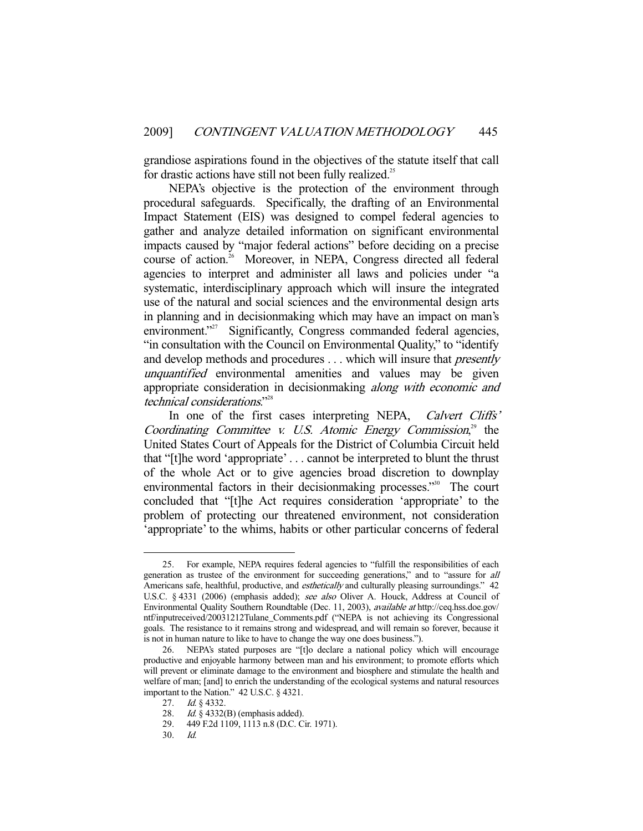grandiose aspirations found in the objectives of the statute itself that call for drastic actions have still not been fully realized.<sup>25</sup>

 NEPA's objective is the protection of the environment through procedural safeguards. Specifically, the drafting of an Environmental Impact Statement (EIS) was designed to compel federal agencies to gather and analyze detailed information on significant environmental impacts caused by "major federal actions" before deciding on a precise course of action.<sup>26</sup> Moreover, in NEPA, Congress directed all federal agencies to interpret and administer all laws and policies under "a systematic, interdisciplinary approach which will insure the integrated use of the natural and social sciences and the environmental design arts in planning and in decisionmaking which may have an impact on man's environment."<sup>27</sup> Significantly, Congress commanded federal agencies, "in consultation with the Council on Environmental Quality," to "identify and develop methods and procedures . . . which will insure that *presently* unquantified environmental amenities and values may be given appropriate consideration in decisionmaking along with economic and technical considerations."28

In one of the first cases interpreting NEPA, *Calvert Cliffs'* Coordinating Committee v. U.S. Atomic Energy Commission, $2^9$  the United States Court of Appeals for the District of Columbia Circuit held that "[t]he word 'appropriate' . . . cannot be interpreted to blunt the thrust of the whole Act or to give agencies broad discretion to downplay environmental factors in their decisionmaking processes."<sup>30</sup> The court concluded that "[t]he Act requires consideration 'appropriate' to the problem of protecting our threatened environment, not consideration 'appropriate' to the whims, habits or other particular concerns of federal

 <sup>25.</sup> For example, NEPA requires federal agencies to "fulfill the responsibilities of each generation as trustee of the environment for succeeding generations," and to "assure for all Americans safe, healthful, productive, and *esthetically* and culturally pleasing surroundings." 42 U.S.C. § 4331 (2006) (emphasis added); see also Oliver A. Houck, Address at Council of Environmental Quality Southern Roundtable (Dec. 11, 2003), available at http://ceq.hss.doe.gov/ ntf/inputreceived/20031212Tulane\_Comments.pdf ("NEPA is not achieving its Congressional goals. The resistance to it remains strong and widespread, and will remain so forever, because it is not in human nature to like to have to change the way one does business.").

 <sup>26.</sup> NEPA's stated purposes are "[t]o declare a national policy which will encourage productive and enjoyable harmony between man and his environment; to promote efforts which will prevent or eliminate damage to the environment and biosphere and stimulate the health and welfare of man; [and] to enrich the understanding of the ecological systems and natural resources important to the Nation." 42 U.S.C. § 4321.

 <sup>27.</sup> Id. § 4332.

 <sup>28.</sup> Id. § 4332(B) (emphasis added).

 <sup>29. 449</sup> F.2d 1109, 1113 n.8 (D.C. Cir. 1971).

 <sup>30.</sup> Id.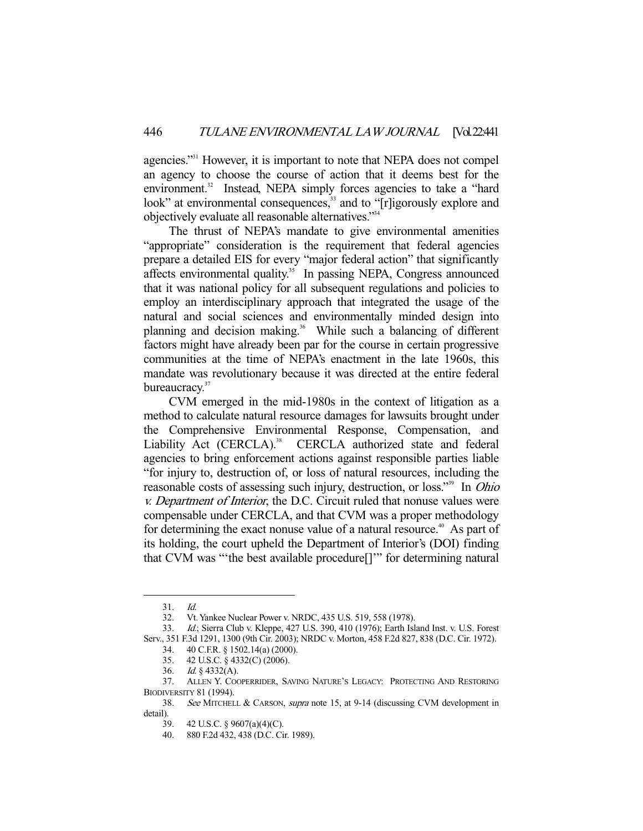agencies."31 However, it is important to note that NEPA does not compel an agency to choose the course of action that it deems best for the environment.<sup>32</sup> Instead, NEPA simply forces agencies to take a "hard look" at environmental consequences,<sup>33</sup> and to "[r]igorously explore and objectively evaluate all reasonable alternatives."34

 The thrust of NEPA's mandate to give environmental amenities "appropriate" consideration is the requirement that federal agencies prepare a detailed EIS for every "major federal action" that significantly affects environmental quality.<sup>35</sup> In passing NEPA, Congress announced that it was national policy for all subsequent regulations and policies to employ an interdisciplinary approach that integrated the usage of the natural and social sciences and environmentally minded design into planning and decision making.<sup>36</sup> While such a balancing of different factors might have already been par for the course in certain progressive communities at the time of NEPA's enactment in the late 1960s, this mandate was revolutionary because it was directed at the entire federal bureaucracy.<sup>37</sup>

 CVM emerged in the mid-1980s in the context of litigation as a method to calculate natural resource damages for lawsuits brought under the Comprehensive Environmental Response, Compensation, and Liability Act (CERCLA).<sup>38</sup> CERCLA authorized state and federal agencies to bring enforcement actions against responsible parties liable "for injury to, destruction of, or loss of natural resources, including the reasonable costs of assessing such injury, destruction, or loss."<sup>39</sup> In *Ohio* v. Department of Interior, the D.C. Circuit ruled that nonuse values were compensable under CERCLA, and that CVM was a proper methodology for determining the exact nonuse value of a natural resource.<sup>40</sup> As part of its holding, the court upheld the Department of Interior's (DOI) finding that CVM was "'the best available procedure[]'" for determining natural

 <sup>31.</sup> Id.

 <sup>32.</sup> Vt. Yankee Nuclear Power v. NRDC, 435 U.S. 519, 558 (1978).

 <sup>33.</sup> Id.; Sierra Club v. Kleppe, 427 U.S. 390, 410 (1976); Earth Island Inst. v. U.S. Forest Serv., 351 F.3d 1291, 1300 (9th Cir. 2003); NRDC v. Morton, 458 F.2d 827, 838 (D.C. Cir. 1972). 34. 40 C.F.R. § 1502.14(a) (2000).

 <sup>35. 42</sup> U.S.C. § 4332(C) (2006).

 <sup>36.</sup> Id. § 4332(A).

 <sup>37.</sup> ALLEN Y. COOPERRIDER, SAVING NATURE'S LEGACY: PROTECTING AND RESTORING BIODIVERSITY 81 (1994).

 <sup>38.</sup> See MITCHELL & CARSON, supra note 15, at 9-14 (discussing CVM development in detail).

 <sup>39. 42</sup> U.S.C. § 9607(a)(4)(C).

 <sup>40. 880</sup> F.2d 432, 438 (D.C. Cir. 1989).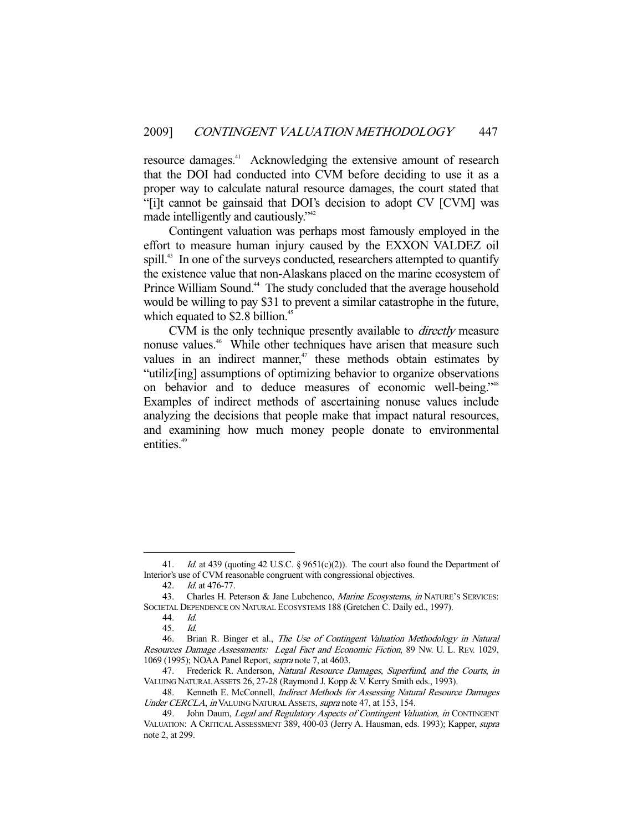resource damages.<sup>41</sup> Acknowledging the extensive amount of research that the DOI had conducted into CVM before deciding to use it as a proper way to calculate natural resource damages, the court stated that "[i]t cannot be gainsaid that DOI's decision to adopt CV [CVM] was made intelligently and cautiously."<sup>42</sup>

 Contingent valuation was perhaps most famously employed in the effort to measure human injury caused by the EXXON VALDEZ oil spill.<sup>43</sup> In one of the surveys conducted, researchers attempted to quantify the existence value that non-Alaskans placed on the marine ecosystem of Prince William Sound.<sup>44</sup> The study concluded that the average household would be willing to pay \$31 to prevent a similar catastrophe in the future, which equated to  $$2.8$  billion.<sup>45</sup>

 CVM is the only technique presently available to directly measure nonuse values.<sup>46</sup> While other techniques have arisen that measure such values in an indirect manner, $47$  these methods obtain estimates by "utiliz[ing] assumptions of optimizing behavior to organize observations on behavior and to deduce measures of economic well-being."<sup>48</sup> Examples of indirect methods of ascertaining nonuse values include analyzing the decisions that people make that impact natural resources, and examining how much money people donate to environmental entities.<sup>49</sup>

<sup>41.</sup> *Id.* at 439 (quoting 42 U.S.C. § 9651(c)(2)). The court also found the Department of Interior's use of CVM reasonable congruent with congressional objectives.

 <sup>42.</sup> Id. at 476-77.

<sup>43.</sup> Charles H. Peterson & Jane Lubchenco, Marine Ecosystems, in NATURE'S SERVICES: SOCIETAL DEPENDENCE ON NATURAL ECOSYSTEMS 188 (Gretchen C. Daily ed., 1997).

 <sup>44.</sup> Id.

 <sup>45.</sup> Id.

<sup>46.</sup> Brian R. Binger et al., The Use of Contingent Valuation Methodology in Natural Resources Damage Assessments: Legal Fact and Economic Fiction, 89 NW. U. L. REV. 1029, 1069 (1995); NOAA Panel Report, supra note 7, at 4603.

<sup>47.</sup> Frederick R. Anderson, Natural Resource Damages, Superfund, and the Courts, in VALUING NATURAL ASSETS 26, 27-28 (Raymond J. Kopp & V. Kerry Smith eds., 1993).

<sup>48.</sup> Kenneth E. McConnell, *Indirect Methods for Assessing Natural Resource Damages* Under CERCLA, in VALUING NATURAL ASSETS, supra note 47, at 153, 154.

<sup>49.</sup> John Daum, Legal and Regulatory Aspects of Contingent Valuation, in CONTINGENT VALUATION: A CRITICAL ASSESSMENT 389, 400-03 (Jerry A. Hausman, eds. 1993); Kapper, supra note 2, at 299.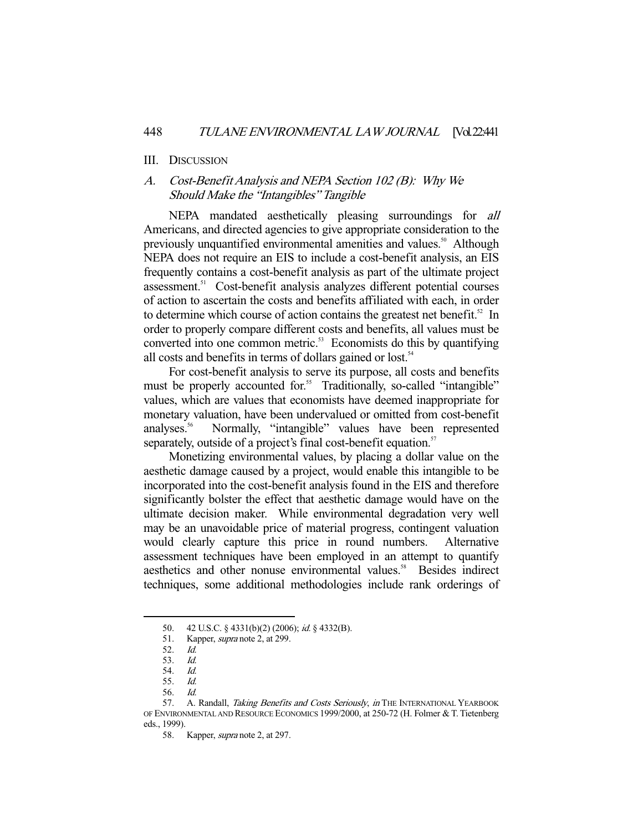#### III. DISCUSSION

## A. Cost-Benefit Analysis and NEPA Section 102 (B): Why We Should Make the "Intangibles" Tangible

 NEPA mandated aesthetically pleasing surroundings for all Americans, and directed agencies to give appropriate consideration to the previously unquantified environmental amenities and values.<sup>50</sup> Although NEPA does not require an EIS to include a cost-benefit analysis, an EIS frequently contains a cost-benefit analysis as part of the ultimate project assessment.51 Cost-benefit analysis analyzes different potential courses of action to ascertain the costs and benefits affiliated with each, in order to determine which course of action contains the greatest net benefit.<sup>52</sup> In order to properly compare different costs and benefits, all values must be converted into one common metric.<sup>53</sup> Economists do this by quantifying all costs and benefits in terms of dollars gained or lost.<sup>54</sup>

 For cost-benefit analysis to serve its purpose, all costs and benefits must be properly accounted for.<sup>55</sup> Traditionally, so-called "intangible" values, which are values that economists have deemed inappropriate for monetary valuation, have been undervalued or omitted from cost-benefit analyses.56 Normally, "intangible" values have been represented separately, outside of a project's final cost-benefit equation.<sup>57</sup>

 Monetizing environmental values, by placing a dollar value on the aesthetic damage caused by a project, would enable this intangible to be incorporated into the cost-benefit analysis found in the EIS and therefore significantly bolster the effect that aesthetic damage would have on the ultimate decision maker. While environmental degradation very well may be an unavoidable price of material progress, contingent valuation would clearly capture this price in round numbers. Alternative assessment techniques have been employed in an attempt to quantify aesthetics and other nonuse environmental values.<sup>58</sup> Besides indirect techniques, some additional methodologies include rank orderings of

 <sup>50. 42</sup> U.S.C. § 4331(b)(2) (2006); id. § 4332(B).

<sup>51.</sup> Kapper, *supra* note 2, at 299.

 <sup>52.</sup> Id.

 <sup>53.</sup> Id.

 <sup>54.</sup> Id.

 <sup>55.</sup> Id.

 <sup>56.</sup> Id.

<sup>57.</sup> A. Randall, Taking Benefits and Costs Seriously, in THE INTERNATIONAL YEARBOOK OF ENVIRONMENTAL AND RESOURCE ECONOMICS 1999/2000, at 250-72 (H. Folmer & T. Tietenberg eds., 1999).

<sup>58.</sup> Kapper, *supra* note 2, at 297.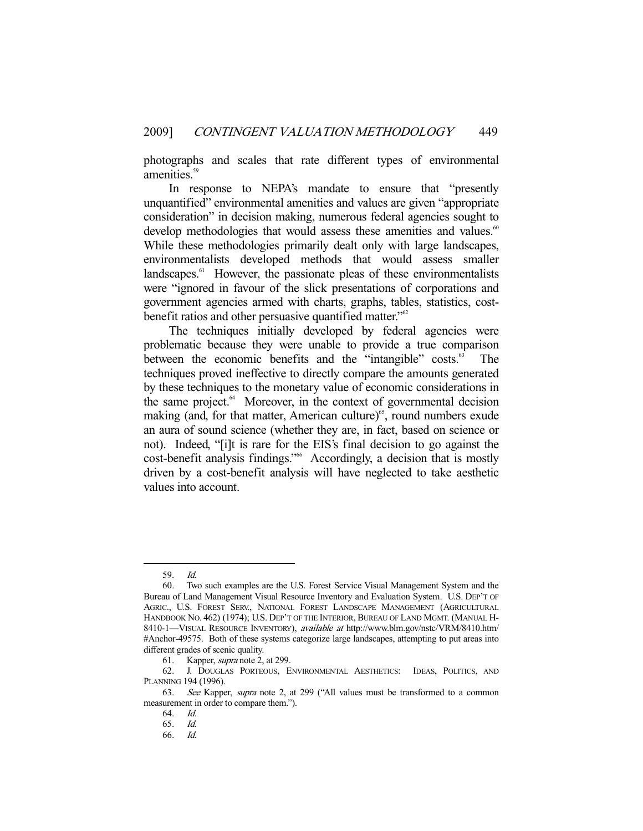photographs and scales that rate different types of environmental amenities.<sup>59</sup>

 In response to NEPA's mandate to ensure that "presently unquantified" environmental amenities and values are given "appropriate consideration" in decision making, numerous federal agencies sought to develop methodologies that would assess these amenities and values.<sup>60</sup> While these methodologies primarily dealt only with large landscapes, environmentalists developed methods that would assess smaller landscapes.<sup>61</sup> However, the passionate pleas of these environmentalists were "ignored in favour of the slick presentations of corporations and government agencies armed with charts, graphs, tables, statistics, costbenefit ratios and other persuasive quantified matter."<sup>62</sup>

 The techniques initially developed by federal agencies were problematic because they were unable to provide a true comparison between the economic benefits and the "intangible" costs.<sup>63</sup> The techniques proved ineffective to directly compare the amounts generated by these techniques to the monetary value of economic considerations in the same project. $64$  Moreover, in the context of governmental decision making (and, for that matter, American culture)<sup>65</sup>, round numbers exude an aura of sound science (whether they are, in fact, based on science or not). Indeed, "[i]t is rare for the EIS's final decision to go against the cost-benefit analysis findings."66 Accordingly, a decision that is mostly driven by a cost-benefit analysis will have neglected to take aesthetic values into account.

 <sup>59.</sup> Id.

 <sup>60.</sup> Two such examples are the U.S. Forest Service Visual Management System and the Bureau of Land Management Visual Resource Inventory and Evaluation System. U.S. DEP'T OF AGRIC., U.S. FOREST SERV., NATIONAL FOREST LANDSCAPE MANAGEMENT (AGRICULTURAL HANDBOOK NO. 462) (1974); U.S. DEP'T OF THE INTERIOR, BUREAU OF LAND MGMT. (MANUAL H-8410-1-VISUAL RESOURCE INVENTORY), available at http://www.blm.gov/nstc/VRM/8410.htm/ #Anchor-49575. Both of these systems categorize large landscapes, attempting to put areas into different grades of scenic quality.

 <sup>61.</sup> Kapper, supra note 2, at 299.

 <sup>62.</sup> J. DOUGLAS PORTEOUS, ENVIRONMENTAL AESTHETICS: IDEAS, POLITICS, AND PLANNING 194 (1996).

 <sup>63.</sup> See Kapper, supra note 2, at 299 ("All values must be transformed to a common measurement in order to compare them.").

 <sup>64.</sup> Id.

 <sup>65.</sup> Id.

 <sup>66.</sup> Id.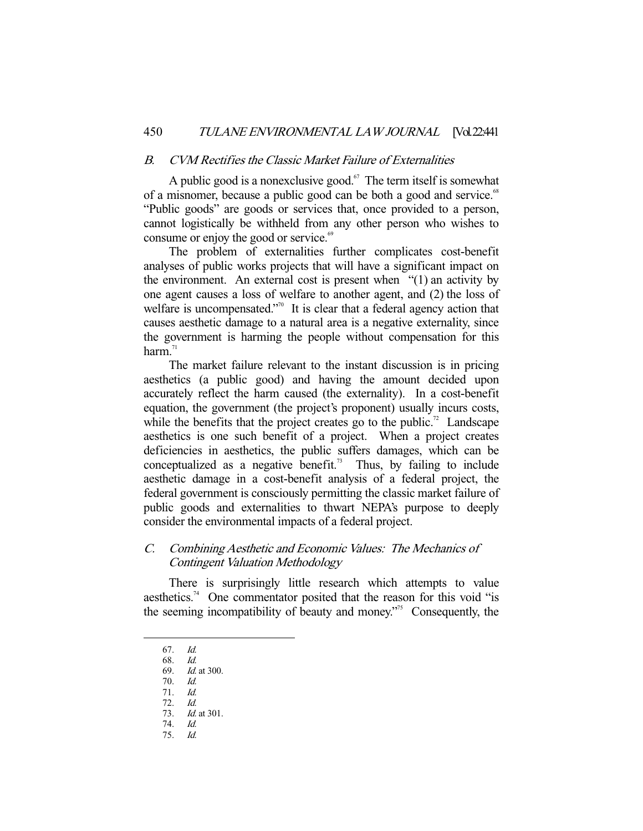## B. CVM Rectifies the Classic Market Failure of Externalities

A public good is a nonexclusive good.<sup>67</sup> The term itself is somewhat of a misnomer, because a public good can be both a good and service.<sup>68</sup> "Public goods" are goods or services that, once provided to a person, cannot logistically be withheld from any other person who wishes to consume or enjoy the good or service.<sup>69</sup>

 The problem of externalities further complicates cost-benefit analyses of public works projects that will have a significant impact on the environment. An external cost is present when "(1) an activity by one agent causes a loss of welfare to another agent, and (2) the loss of welfare is uncompensated."<sup>70</sup> It is clear that a federal agency action that causes aesthetic damage to a natural area is a negative externality, since the government is harming the people without compensation for this harm $^{71}$ 

 The market failure relevant to the instant discussion is in pricing aesthetics (a public good) and having the amount decided upon accurately reflect the harm caused (the externality). In a cost-benefit equation, the government (the project's proponent) usually incurs costs, while the benefits that the project creates go to the public.<sup>72</sup> Landscape aesthetics is one such benefit of a project. When a project creates deficiencies in aesthetics, the public suffers damages, which can be conceptualized as a negative benefit.<sup>73</sup> Thus, by failing to include aesthetic damage in a cost-benefit analysis of a federal project, the federal government is consciously permitting the classic market failure of public goods and externalities to thwart NEPA's purpose to deeply consider the environmental impacts of a federal project.

## C. Combining Aesthetic and Economic Values: The Mechanics of Contingent Valuation Methodology

 There is surprisingly little research which attempts to value aesthetics.<sup>74</sup> One commentator posited that the reason for this void "is the seeming incompatibility of beauty and money."75 Consequently, the

-

75. Id.

<sup>67.</sup>  $Id.$  68.  $Id.$ 

<sup>68.</sup> 

 <sup>69.</sup> Id. at 300.

 <sup>70.</sup> Id.

 <sup>71.</sup> Id. 72. Id.

 <sup>73.</sup> Id. at 301.

 <sup>74.</sup> Id.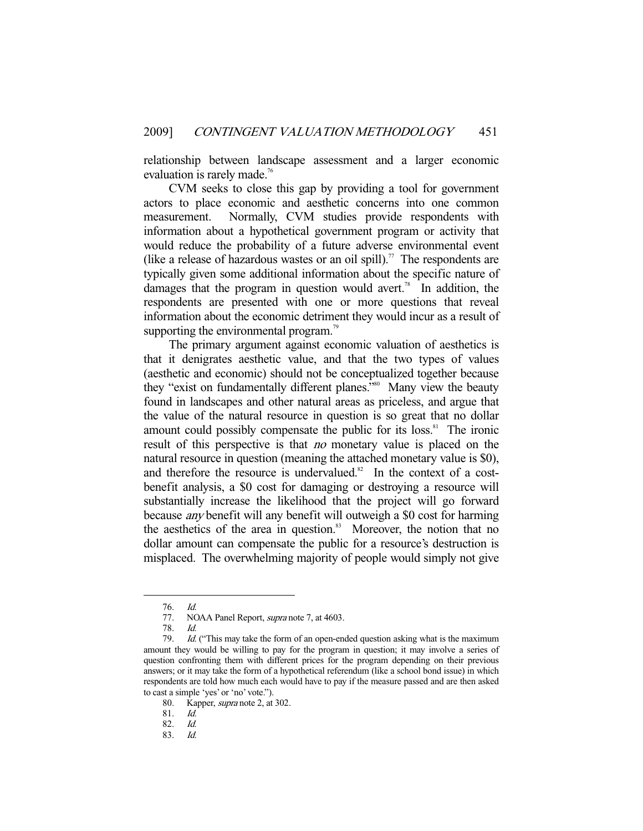relationship between landscape assessment and a larger economic evaluation is rarely made.<sup>76</sup>

 CVM seeks to close this gap by providing a tool for government actors to place economic and aesthetic concerns into one common measurement. Normally, CVM studies provide respondents with information about a hypothetical government program or activity that would reduce the probability of a future adverse environmental event (like a release of hazardous wastes or an oil spill).<sup>77</sup> The respondents are typically given some additional information about the specific nature of damages that the program in question would avert.<sup>78</sup> In addition, the respondents are presented with one or more questions that reveal information about the economic detriment they would incur as a result of supporting the environmental program.<sup>79</sup>

 The primary argument against economic valuation of aesthetics is that it denigrates aesthetic value, and that the two types of values (aesthetic and economic) should not be conceptualized together because they "exist on fundamentally different planes."<sup>80</sup> Many view the beauty found in landscapes and other natural areas as priceless, and argue that the value of the natural resource in question is so great that no dollar amount could possibly compensate the public for its loss.<sup>81</sup> The ironic result of this perspective is that *no* monetary value is placed on the natural resource in question (meaning the attached monetary value is \$0), and therefore the resource is undervalued.<sup>82</sup> In the context of a costbenefit analysis, a \$0 cost for damaging or destroying a resource will substantially increase the likelihood that the project will go forward because any benefit will any benefit will outweigh a \$0 cost for harming the aesthetics of the area in question.<sup>83</sup> Moreover, the notion that no dollar amount can compensate the public for a resource's destruction is misplaced. The overwhelming majority of people would simply not give

-

80. Kapper, *supra* note 2, at 302.

 <sup>76.</sup> Id.

<sup>77.</sup> NOAA Panel Report, *supra* note 7, at 4603.

 <sup>78.</sup> Id.

 <sup>79.</sup> Id. ("This may take the form of an open-ended question asking what is the maximum amount they would be willing to pay for the program in question; it may involve a series of question confronting them with different prices for the program depending on their previous answers; or it may take the form of a hypothetical referendum (like a school bond issue) in which respondents are told how much each would have to pay if the measure passed and are then asked to cast a simple 'yes' or 'no' vote.").

 <sup>81.</sup> Id.

 <sup>82.</sup> Id.

 <sup>83.</sup> Id.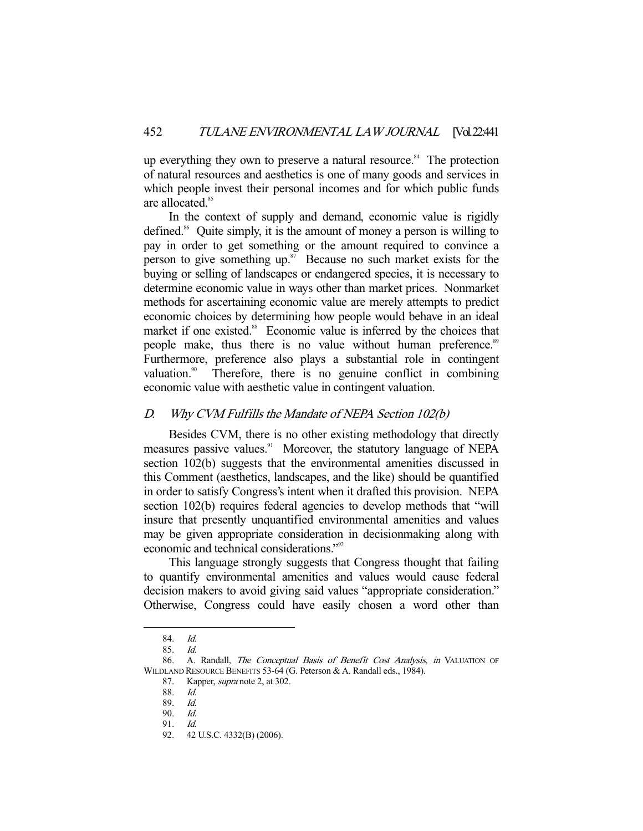up everything they own to preserve a natural resource.<sup>84</sup> The protection of natural resources and aesthetics is one of many goods and services in which people invest their personal incomes and for which public funds are allocated.<sup>85</sup>

 In the context of supply and demand, economic value is rigidly defined.<sup>86</sup> Quite simply, it is the amount of money a person is willing to pay in order to get something or the amount required to convince a person to give something  $up$ .<sup>87</sup> Because no such market exists for the buying or selling of landscapes or endangered species, it is necessary to determine economic value in ways other than market prices. Nonmarket methods for ascertaining economic value are merely attempts to predict economic choices by determining how people would behave in an ideal market if one existed.<sup>88</sup> Economic value is inferred by the choices that people make, thus there is no value without human preference.<sup>89</sup> Furthermore, preference also plays a substantial role in contingent valuation. $\frac{90}{10}$  Therefore, there is no genuine conflict in combining economic value with aesthetic value in contingent valuation.

## D. Why CVM Fulfills the Mandate of NEPA Section 102(b)

 Besides CVM, there is no other existing methodology that directly measures passive values.<sup>91</sup> Moreover, the statutory language of NEPA section 102(b) suggests that the environmental amenities discussed in this Comment (aesthetics, landscapes, and the like) should be quantified in order to satisfy Congress's intent when it drafted this provision. NEPA section 102(b) requires federal agencies to develop methods that "will insure that presently unquantified environmental amenities and values may be given appropriate consideration in decisionmaking along with economic and technical considerations."92

 This language strongly suggests that Congress thought that failing to quantify environmental amenities and values would cause federal decision makers to avoid giving said values "appropriate consideration." Otherwise, Congress could have easily chosen a word other than

 <sup>84.</sup> Id.

 <sup>85.</sup> Id.

<sup>86.</sup> A. Randall, *The Conceptual Basis of Benefit Cost Analysis*, *in* VALUATION OF WILDLAND RESOURCE BENEFITS 53-64 (G. Peterson & A. Randall eds., 1984).

<sup>87.</sup> Kapper, *supra* note 2, at 302.

 <sup>88.</sup> Id.

 <sup>89.</sup> Id.

 <sup>90.</sup> Id.

 <sup>91.</sup> Id.

 <sup>92. 42</sup> U.S.C. 4332(B) (2006).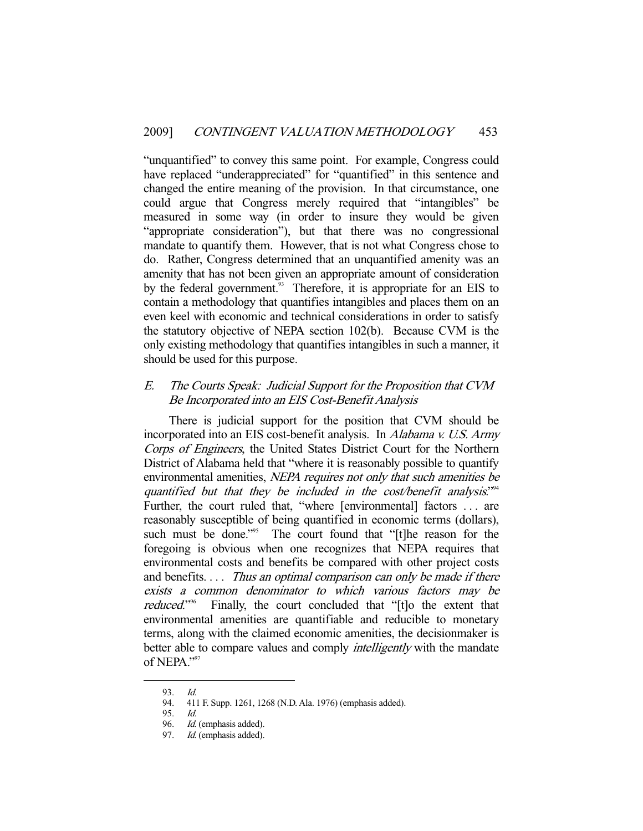"unquantified" to convey this same point. For example, Congress could have replaced "underappreciated" for "quantified" in this sentence and changed the entire meaning of the provision. In that circumstance, one could argue that Congress merely required that "intangibles" be measured in some way (in order to insure they would be given "appropriate consideration"), but that there was no congressional mandate to quantify them. However, that is not what Congress chose to do. Rather, Congress determined that an unquantified amenity was an amenity that has not been given an appropriate amount of consideration by the federal government.<sup>93</sup> Therefore, it is appropriate for an EIS to contain a methodology that quantifies intangibles and places them on an even keel with economic and technical considerations in order to satisfy the statutory objective of NEPA section 102(b). Because CVM is the only existing methodology that quantifies intangibles in such a manner, it should be used for this purpose.

## E. The Courts Speak: Judicial Support for the Proposition that CVM Be Incorporated into an EIS Cost-Benefit Analysis

 There is judicial support for the position that CVM should be incorporated into an EIS cost-benefit analysis. In Alabama v. U.S. Army Corps of Engineers, the United States District Court for the Northern District of Alabama held that "where it is reasonably possible to quantify environmental amenities, NEPA requires not only that such amenities be quantified but that they be included in the cost/benefit analysis."<sup>94</sup> Further, the court ruled that, "where [environmental] factors . . . are reasonably susceptible of being quantified in economic terms (dollars), such must be done."<sup>95</sup> The court found that "[t]he reason for the foregoing is obvious when one recognizes that NEPA requires that environmental costs and benefits be compared with other project costs and benefits.... Thus an optimal comparison can only be made if there exists a common denominator to which various factors may be reduced." Finally, the court concluded that "[t]o the extent that environmental amenities are quantifiable and reducible to monetary terms, along with the claimed economic amenities, the decisionmaker is better able to compare values and comply *intelligently* with the mandate of NEPA."97

<sup>93.</sup> *Id.*<br>94. 41

 <sup>94. 411</sup> F. Supp. 1261, 1268 (N.D. Ala. 1976) (emphasis added).

<sup>95.</sup> *Id.*<br>96. *Id.* 

Id. (emphasis added).

<sup>97.</sup> Id. (emphasis added).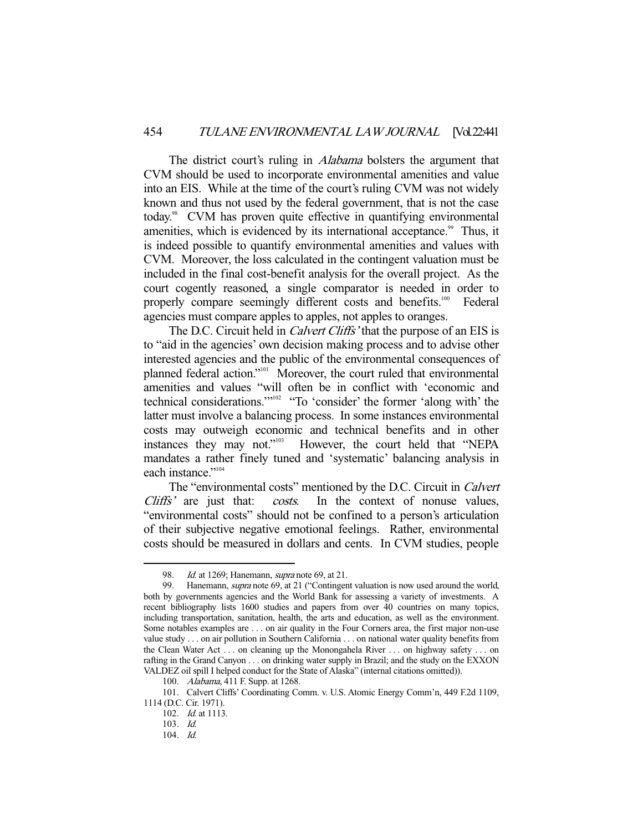The district court's ruling in *Alabama* bolsters the argument that CVM should be used to incorporate environmental amenities and value into an EIS. While at the time of the court's ruling CVM was not widely known and thus not used by the federal government, that is not the case today.<sup>98</sup> CVM has proven quite effective in quantifying environmental amenities, which is evidenced by its international acceptance.<sup>99</sup> Thus, it is indeed possible to quantify environmental amenities and values with CVM. Moreover, the loss calculated in the contingent valuation must be included in the final cost-benefit analysis for the overall project. As the court cogently reasoned, a single comparator is needed in order to properly compare seemingly different costs and benefits.<sup>100</sup> Federal agencies must compare apples to apples, not apples to oranges.

The D.C. Circuit held in *Calvert Cliffs*' that the purpose of an EIS is to "aid in the agencies' own decision making process and to advise other interested agencies and the public of the environmental consequences of planned federal action."<sup>101</sup> Moreover, the court ruled that environmental amenities and values "will often be in conflict with 'economic and technical considerations."<sup>102</sup> "To 'consider' the former 'along with' the latter must involve a balancing process. In some instances environmental costs may outweigh economic and technical benefits and in other instances they may not."<sup>103</sup> However, the court held that "NEPA mandates a rather finely tuned and 'systematic' balancing analysis in each instance."<sup>104</sup>

The "environmental costs" mentioned by the D.C. Circuit in *Calvert* Cliffs' are just that: costs. In the context of nonuse values, "environmental costs" should not be confined to a person's articulation of their subjective negative emotional feelings. Rather, environmental costs should be measured in dollars and cents. In CVM studies, people

<sup>98.</sup> Id. at 1269; Hanemann, *supra* note 69, at 21.

<sup>99.</sup> Hanemann, *supra* note 69, at 21 ("Contingent valuation is now used around the world, both by governments agencies and the World Bank for assessing a variety of investments. A recent bibliography lists 1600 studies and papers from over 40 countries on many topics, including transportation, sanitation, health, the arts and education, as well as the environment. Some notables examples are . . . on air quality in the Four Corners area, the first major non-use value study . . . on air pollution in Southern California . . . on national water quality benefits from the Clean Water Act . . . on cleaning up the Monongahela River . . . on highway safety . . . on rafting in the Grand Canyon . . . on drinking water supply in Brazil; and the study on the EXXON VALDEZ oil spill I helped conduct for the State of Alaska" (internal citations omitted)).

 <sup>100.</sup> Alabama, 411 F. Supp. at 1268.

 <sup>101.</sup> Calvert Cliffs' Coordinating Comm. v. U.S. Atomic Energy Comm'n, 449 F.2d 1109, 1114 (D.C. Cir. 1971).

 <sup>102.</sup> Id. at 1113.

 <sup>103.</sup> Id.

 <sup>104.</sup> Id.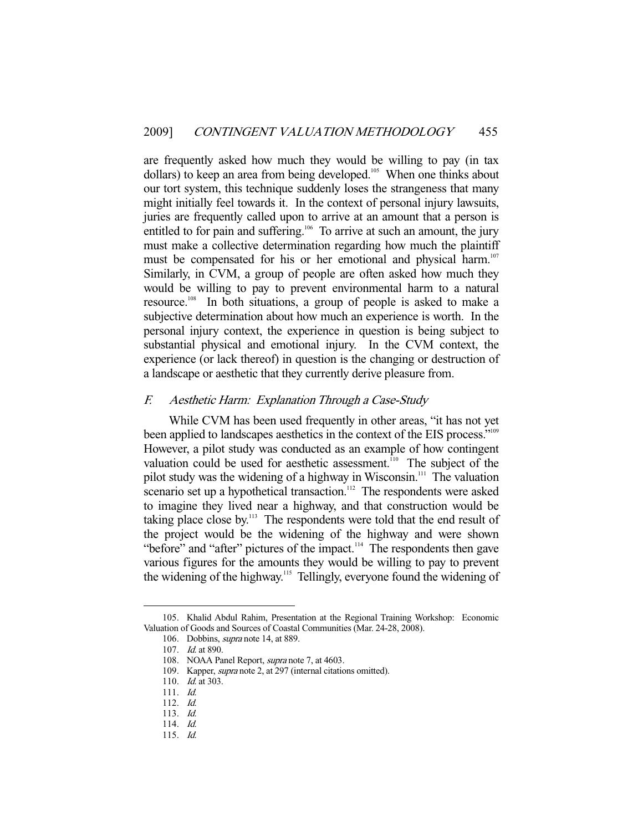are frequently asked how much they would be willing to pay (in tax dollars) to keep an area from being developed.<sup>105</sup> When one thinks about our tort system, this technique suddenly loses the strangeness that many might initially feel towards it. In the context of personal injury lawsuits, juries are frequently called upon to arrive at an amount that a person is entitled to for pain and suffering.<sup>106</sup> To arrive at such an amount, the jury must make a collective determination regarding how much the plaintiff must be compensated for his or her emotional and physical harm.<sup>107</sup> Similarly, in CVM, a group of people are often asked how much they would be willing to pay to prevent environmental harm to a natural resource.108 In both situations, a group of people is asked to make a subjective determination about how much an experience is worth. In the personal injury context, the experience in question is being subject to substantial physical and emotional injury. In the CVM context, the experience (or lack thereof) in question is the changing or destruction of a landscape or aesthetic that they currently derive pleasure from.

### F. Aesthetic Harm: Explanation Through a Case-Study

 While CVM has been used frequently in other areas, "it has not yet been applied to landscapes aesthetics in the context of the EIS process."<sup>109</sup> However, a pilot study was conducted as an example of how contingent valuation could be used for aesthetic assessment.<sup>110</sup> The subject of the pilot study was the widening of a highway in Wisconsin.<sup>111</sup> The valuation scenario set up a hypothetical transaction.<sup>112</sup> The respondents were asked to imagine they lived near a highway, and that construction would be taking place close by. $113$  The respondents were told that the end result of the project would be the widening of the highway and were shown "before" and "after" pictures of the impact.<sup>114</sup> The respondents then gave various figures for the amounts they would be willing to pay to prevent the widening of the highway.115 Tellingly, everyone found the widening of

 <sup>105.</sup> Khalid Abdul Rahim, Presentation at the Regional Training Workshop: Economic Valuation of Goods and Sources of Coastal Communities (Mar. 24-28, 2008).

<sup>106.</sup> Dobbins, *supra* note 14, at 889.

 <sup>107.</sup> Id. at 890.

<sup>108.</sup> NOAA Panel Report, *supra* note 7, at 4603.

<sup>109.</sup> Kapper, *supra* note 2, at 297 (internal citations omitted).

<sup>110.</sup> *Id.* at 303.

 <sup>111.</sup> Id.

 <sup>112.</sup> Id.

 <sup>113.</sup> Id.

 <sup>114.</sup> Id.

 <sup>115.</sup> Id.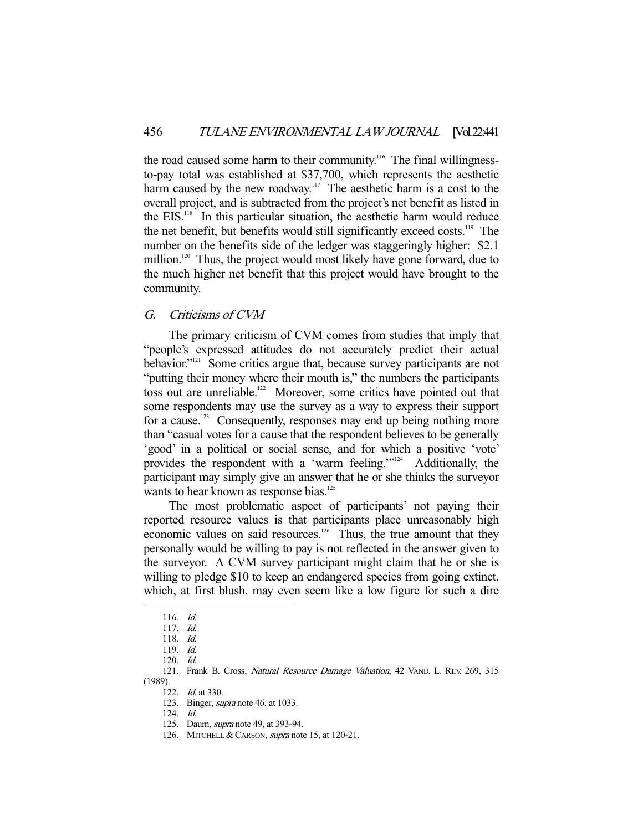the road caused some harm to their community.<sup>116</sup> The final willingnessto-pay total was established at \$37,700, which represents the aesthetic harm caused by the new roadway.<sup>117</sup> The aesthetic harm is a cost to the overall project, and is subtracted from the project's net benefit as listed in the EIS.118 In this particular situation, the aesthetic harm would reduce the net benefit, but benefits would still significantly exceed costs.<sup>119</sup> The number on the benefits side of the ledger was staggeringly higher: \$2.1 million.<sup>120</sup> Thus, the project would most likely have gone forward, due to the much higher net benefit that this project would have brought to the community.

## G. Criticisms of CVM

 The primary criticism of CVM comes from studies that imply that "people's expressed attitudes do not accurately predict their actual behavior."<sup>121</sup> Some critics argue that, because survey participants are not "putting their money where their mouth is," the numbers the participants toss out are unreliable.<sup>122</sup> Moreover, some critics have pointed out that some respondents may use the survey as a way to express their support for a cause.<sup>123</sup> Consequently, responses may end up being nothing more than "casual votes for a cause that the respondent believes to be generally 'good' in a political or social sense, and for which a positive 'vote' provides the respondent with a 'warm feeling.'"<sup>124</sup> Additionally, the participant may simply give an answer that he or she thinks the surveyor wants to hear known as response bias.<sup>125</sup>

 The most problematic aspect of participants' not paying their reported resource values is that participants place unreasonably high economic values on said resources.<sup>126</sup> Thus, the true amount that they personally would be willing to pay is not reflected in the answer given to the surveyor. A CVM survey participant might claim that he or she is willing to pledge \$10 to keep an endangered species from going extinct, which, at first blush, may even seem like a low figure for such a dire

-

124. Id.

 <sup>116.</sup> Id.

 <sup>117.</sup> Id.

 <sup>118.</sup> Id.

 <sup>119.</sup> Id.

 <sup>120.</sup> Id.

<sup>121.</sup> Frank B. Cross, Natural Resource Damage Valuation, 42 VAND. L. REV. 269, 315 (1989).

<sup>122.</sup> *Id.* at 330.

 <sup>123.</sup> Binger, supra note 46, at 1033.

 <sup>125.</sup> Daum, supra note 49, at 393-94.

<sup>126.</sup> MITCHELL & CARSON, *supra* note 15, at 120-21.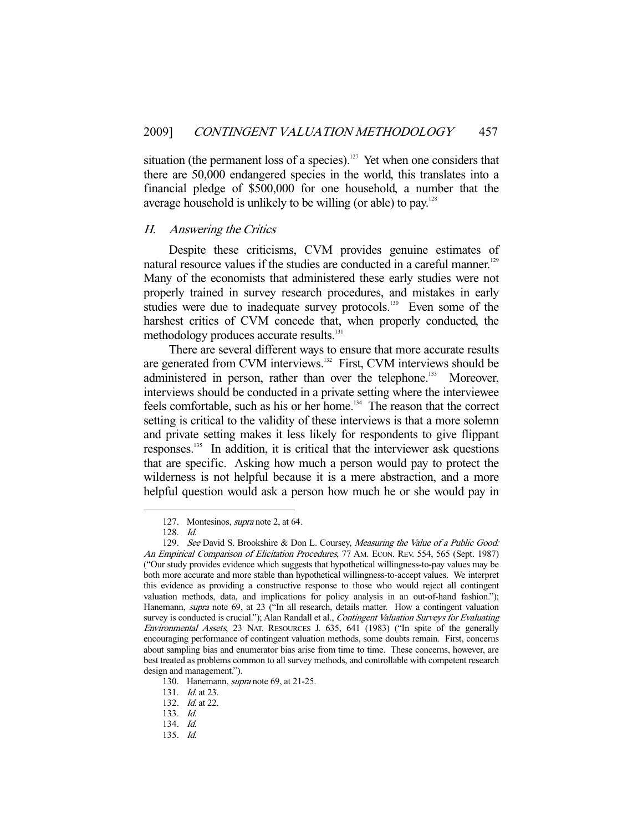situation (the permanent loss of a species).<sup>127</sup> Yet when one considers that there are 50,000 endangered species in the world, this translates into a financial pledge of \$500,000 for one household, a number that the average household is unlikely to be willing (or able) to pay. $128$ 

#### H. Answering the Critics

 Despite these criticisms, CVM provides genuine estimates of natural resource values if the studies are conducted in a careful manner.<sup>129</sup> Many of the economists that administered these early studies were not properly trained in survey research procedures, and mistakes in early studies were due to inadequate survey protocols.<sup>130</sup> Even some of the harshest critics of CVM concede that, when properly conducted, the methodology produces accurate results.<sup>131</sup>

 There are several different ways to ensure that more accurate results are generated from CVM interviews.<sup>132</sup> First, CVM interviews should be administered in person, rather than over the telephone.<sup>133</sup> Moreover, interviews should be conducted in a private setting where the interviewee feels comfortable, such as his or her home.<sup>134</sup> The reason that the correct setting is critical to the validity of these interviews is that a more solemn and private setting makes it less likely for respondents to give flippant responses.135 In addition, it is critical that the interviewer ask questions that are specific. Asking how much a person would pay to protect the wilderness is not helpful because it is a mere abstraction, and a more helpful question would ask a person how much he or she would pay in

 <sup>127.</sup> Montesinos, supra note 2, at 64.

 <sup>128.</sup> Id.

<sup>129.</sup> See David S. Brookshire & Don L. Coursey, Measuring the Value of a Public Good: An Empirical Comparison of Elicitation Procedures, 77 AM. ECON. REV. 554, 565 (Sept. 1987) ("Our study provides evidence which suggests that hypothetical willingness-to-pay values may be both more accurate and more stable than hypothetical willingness-to-accept values. We interpret this evidence as providing a constructive response to those who would reject all contingent valuation methods, data, and implications for policy analysis in an out-of-hand fashion."); Hanemann, supra note 69, at 23 ("In all research, details matter. How a contingent valuation survey is conducted is crucial."); Alan Randall et al., Contingent Valuation Surveys for Evaluating Environmental Assets, 23 NAT. RESOURCES J. 635, 641 (1983) ("In spite of the generally encouraging performance of contingent valuation methods, some doubts remain. First, concerns about sampling bias and enumerator bias arise from time to time. These concerns, however, are best treated as problems common to all survey methods, and controllable with competent research design and management.").

<sup>130.</sup> Hanemann, *supra* note 69, at 21-25.

<sup>131.</sup> *Id.* at 23.

<sup>132.</sup> *Id.* at 22.

 <sup>133.</sup> Id.

 <sup>134.</sup> Id.

 <sup>135.</sup> Id.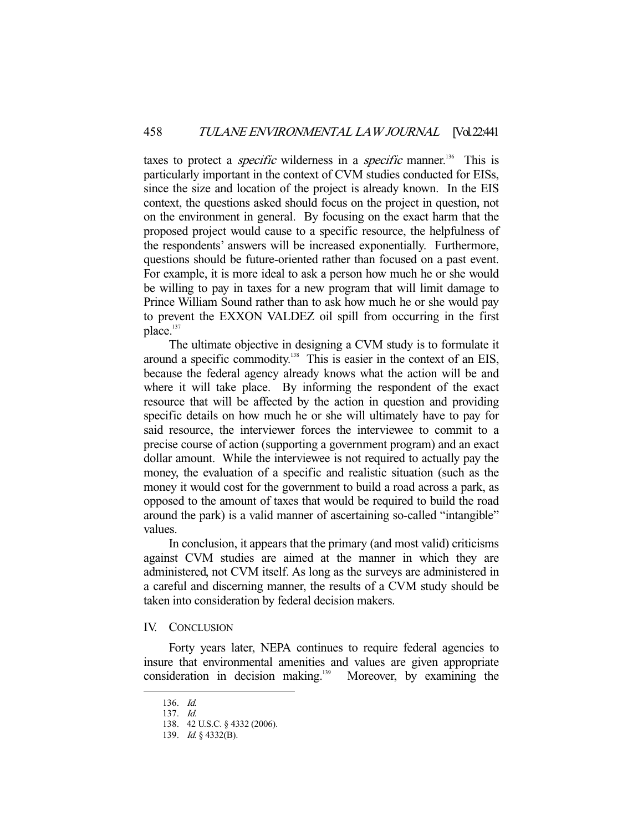taxes to protect a *specific* wilderness in a *specific* manner.<sup>136</sup> This is particularly important in the context of CVM studies conducted for EISs, since the size and location of the project is already known. In the EIS context, the questions asked should focus on the project in question, not on the environment in general. By focusing on the exact harm that the proposed project would cause to a specific resource, the helpfulness of the respondents' answers will be increased exponentially. Furthermore, questions should be future-oriented rather than focused on a past event. For example, it is more ideal to ask a person how much he or she would be willing to pay in taxes for a new program that will limit damage to Prince William Sound rather than to ask how much he or she would pay to prevent the EXXON VALDEZ oil spill from occurring in the first place.<sup>137</sup>

 The ultimate objective in designing a CVM study is to formulate it around a specific commodity.<sup>138</sup> This is easier in the context of an EIS, because the federal agency already knows what the action will be and where it will take place. By informing the respondent of the exact resource that will be affected by the action in question and providing specific details on how much he or she will ultimately have to pay for said resource, the interviewer forces the interviewee to commit to a precise course of action (supporting a government program) and an exact dollar amount. While the interviewee is not required to actually pay the money, the evaluation of a specific and realistic situation (such as the money it would cost for the government to build a road across a park, as opposed to the amount of taxes that would be required to build the road around the park) is a valid manner of ascertaining so-called "intangible" values.

 In conclusion, it appears that the primary (and most valid) criticisms against CVM studies are aimed at the manner in which they are administered, not CVM itself. As long as the surveys are administered in a careful and discerning manner, the results of a CVM study should be taken into consideration by federal decision makers.

#### IV. CONCLUSION

Forty years later, NEPA continues to require federal agencies to insure that environmental amenities and values are given appropriate  $consideration$  in decision making.<sup>139</sup> Moreover, by examining the

 <sup>136.</sup> Id.

 <sup>137.</sup> Id. 138. 42 U.S.C. § 4332 (2006).

 <sup>139.</sup> Id. § 4332(B).